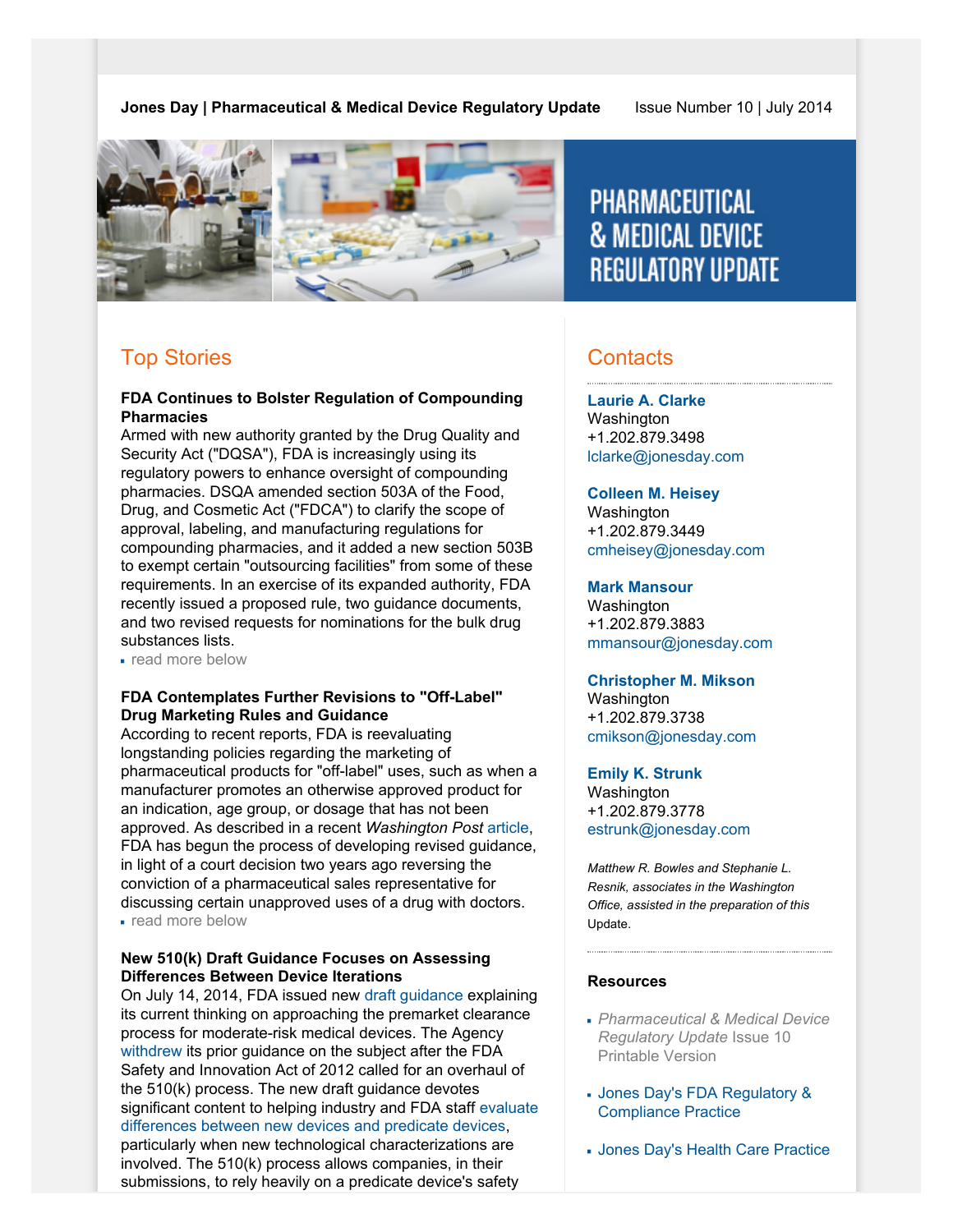**Jones Day | Pharmaceutical & Medical Device Regulatory Update Issue Number 10 | July 2014** 



# **PHARMACEUTICAL & MEDICAL DEVICE REGULATORY UPDATE**

# Top Stories

#### **FDA Continues to Bolster Regulation of Compounding Pharmacies**

Armed with new authority granted by the Drug Quality and Security Act ("DQSA"), FDA is increasingly using its regulatory powers to enhance oversight of compounding pharmacies. DSQA amended section 503A of the Food, Drug, and Cosmetic Act ("FDCA") to clarify the scope of approval, labeling, and manufacturing regulations for compounding pharmacies, and it added a new section 503B to exempt certain "outsourcing facilities" from some of these requirements. In an exercise of its expanded authority, FDA recently issued a proposed rule, two guidance documents, and two revised requests for nominations for the bulk drug substances lists.

read more below

### **FDA Contemplates Further Revisions to "Off-Label" Drug Marketing Rules and Guidance**

According to recent reports, FDA is reevaluating longstanding policies regarding the marketing of pharmaceutical products for "off-label" uses, such as when a manufacturer promotes an otherwise approved product for an indication, age group, or dosage that has not been approved. As described in a recent *Washington Post* [article,](http://www.washingtonpost.com/national/health-science/2014/07/09/3708dd6a-fbc4-11e3-8176-f2c941cf35f1_story.html) FDA has begun the process of developing revised guidance, in light of a court decision two years ago reversing the conviction of a pharmaceutical sales representative for discussing certain unapproved uses of a drug with doctors. read more below

#### **New 510(k) Draft Guidance Focuses on Assessing Differences Between Device Iterations**

On July 14, 2014, FDA issued new [draft guidance](http://www.fda.gov/downloads/MedicalDevices/DeviceRegulationandGuidance/GuidanceDocuments/UCM404773.pdf) explaining its current thinking on approaching the premarket clearance process for moderate-risk medical devices. The Agency [withdrew](http://www.raps.org/regulatoryDetail.aspx?id=8478) its prior guidance on the subject after the FDA Safety and Innovation Act of 2012 called for an overhaul of the 510(k) process. The new draft guidance devotes significant content to helping industry and FDA staff [evaluate](http://www.raps.org/regulatory-focus/news/2014/07/19689/FDA-Draft-Guidance-on-510k-Submissions/) [differences between new devices and predicate devices,](http://www.raps.org/regulatory-focus/news/2014/07/19689/FDA-Draft-Guidance-on-510k-Submissions/) particularly when new technological characterizations are involved. The 510(k) process allows companies, in their submissions, to rely heavily on a predicate device's safety

# **Contacts**

**[Laurie A. Clarke](http://www.jonesday.com/lclarke/)** Washington +1.202.879.3498 [lclarke@jonesday.com](mailto:lclarke@jonesday.com)

### **[Colleen M. Heisey](http://www.jonesday.com/cmheisey)**

**Washington** +1.202.879.3449 [cmheisey@jonesday.com](mailto:cmheisey@jonesday.com)

#### **[Mark Mansour](http://www.jonesday.com/mmansour)**

Washington +1.202.879.3883 [mmansour@jonesday.com](mailto:mmansour@jonesday.com)

#### **[Christopher M. Mikson](http://www.jonesday.com/cmikson)**

**Washington** +1.202.879.3738 [cmikson@jonesday.com](mailto:cmikson@jonesday.com)

### **[Emily K. Strunk](http://www.jonesday.com/estrunk)**

Washington +1.202.879.3778 [estrunk@jonesday.com](mailto:estrunk@jonesday.com)

*Matthew R. Bowles and Stephanie L. Resnik, associates in the Washington Office, assisted in the preparation of this* Update.

### **Resources**

- *Pharmaceutical & Medical Device Regulatory Update* Issue 10 Printable Version
- [Jones Day's FDA Regulatory &](http://www.jonesday.com/fdaregulatoryandcompliancecounseling) [Compliance Practice](http://www.jonesday.com/fdaregulatoryandcompliancecounseling)
- [Jones Day's Health Care Practice](http://www.jonesday.com/health-care-practices/)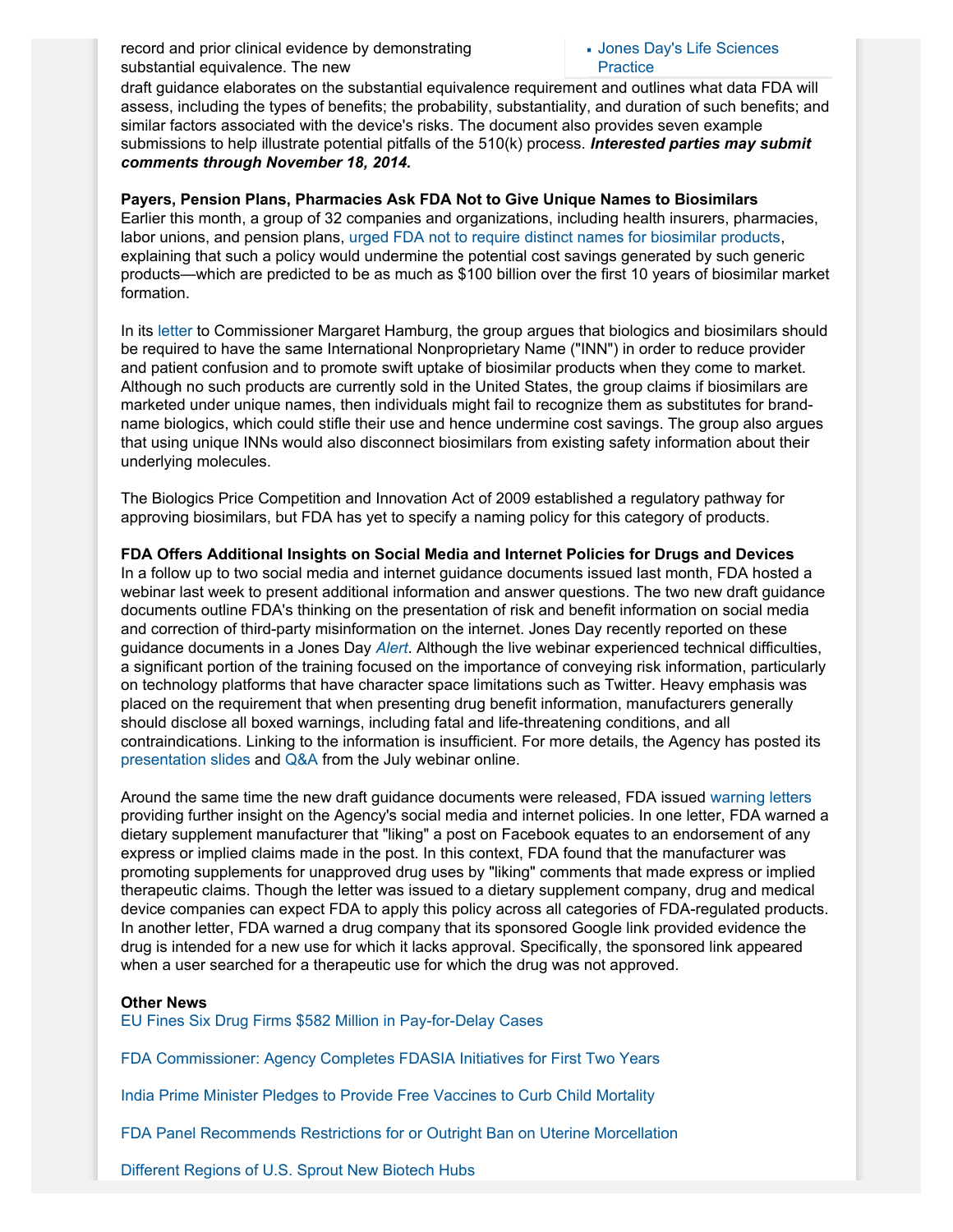record and prior clinical evidence by demonstrating substantial equivalence. The new

#### [Jones Day's Life Sciences](http://www.jonesday.com/lifesciences/) **[Practice](http://www.jonesday.com/lifesciences/)**

draft guidance elaborates on the substantial equivalence requirement and outlines what data FDA will assess, including the types of benefits; the probability, substantiality, and duration of such benefits; and similar factors associated with the device's risks. The document also provides seven example submissions to help illustrate potential pitfalls of the 510(k) process. *Interested parties may submit comments through November 18, 2014.*

#### **Payers, Pension Plans, Pharmacies Ask FDA Not to Give Unique Names to Biosimilars**

Earlier this month, a group of 32 companies and organizations, including health insurers, pharmacies, labor unions, and pension plans, [urged FDA not to require distinct names for biosimilar products,](http://blogs.wsj.com/pharmalot/2014/07/02/whats-in-a-name-fda-urged-not-to-give-biosimilars-unique-names/) explaining that such a policy would undermine the potential cost savings generated by such generic products—which are predicted to be as much as \$100 billion over the first 10 years of biosimilar market formation.

In its [letter](http://www.gphaonline.org/media/cms/Lttr_to_FDA_on_biosimilars_INN_June_2014.FINAL.pdf) to Commissioner Margaret Hamburg, the group argues that biologics and biosimilars should be required to have the same International Nonproprietary Name ("INN") in order to reduce provider and patient confusion and to promote swift uptake of biosimilar products when they come to market. Although no such products are currently sold in the United States, the group claims if biosimilars are marketed under unique names, then individuals might fail to recognize them as substitutes for brandname biologics, which could stifle their use and hence undermine cost savings. The group also argues that using unique INNs would also disconnect biosimilars from existing safety information about their underlying molecules.

The Biologics Price Competition and Innovation Act of 2009 established a regulatory pathway for approving biosimilars, but FDA has yet to specify a naming policy for this category of products.

### **FDA Offers Additional Insights on Social Media and Internet Policies for Drugs and Devices**

In a follow up to two social media and internet guidance documents issued last month, FDA hosted a webinar last week to present additional information and answer questions. The two new draft guidance documents outline FDA's thinking on the presentation of risk and benefit information on social media and correction of third-party misinformation on the internet. Jones Day recently reported on these guidance documents in a Jones Day *[Alert](http://www.jonesday.com/fda-releases-draft-guidance-on-internetsocial-media-product-promotion-and-correction-of-misinformation-06-20-2014/)*. Although the live webinar experienced technical difficulties, a significant portion of the training focused on the importance of conveying risk information, particularly on technology platforms that have character space limitations such as Twitter. Heavy emphasis was placed on the requirement that when presenting drug benefit information, manufacturers generally should disclose all boxed warnings, including fatal and life-threatening conditions, and all contraindications. Linking to the information is insufficient. For more details, the Agency has posted its [presentation slides](http://www.fda.gov/downloads/AboutFDA/CentersOffices/OfficeofMedicalProductsandTobacco/CDER/UCM404562.pdf) and [Q&A](http://www.fda.gov/downloads/AboutFDA/CentersOffices/OfficeofMedicalProductsandTobacco/CDER/UCM404784.pdf) from the July webinar online.

Around the same time the new draft guidance documents were released, FDA issued [warning letters](http://www.fda.gov/ICECI/EnforcementActions/WarningLetters/2014/ucm403255.htm) providing further insight on the Agency's social media and internet policies. In one letter, FDA warned a dietary supplement manufacturer that "liking" a post on Facebook equates to an endorsement of any express or implied claims made in the post. In this context, FDA found that the manufacturer was promoting supplements for unapproved drug uses by "liking" comments that made express or implied therapeutic claims. Though the letter was issued to a dietary supplement company, drug and medical device companies can expect FDA to apply this policy across all categories of FDA-regulated products. In another letter, FDA warned a drug company that its sponsored Google link provided evidence the drug is intended for a new use for which it lacks approval. Specifically, the sponsored link appeared when a user searched for a therapeutic use for which the drug was not approved.

#### **Other News**

[EU Fines Six Drug Firms \\$582 Million in Pay-for-Delay Cases](http://www.nytimes.com/2014/07/10/business/international/europe-fines-servier-in-pay-for-delay-crackdown.html?_r=0)

[FDA Commissioner: Agency Completes FDASIA Initiatives for First Two Years](http://blogs.fda.gov/fdavoice/index.php/2014/07/fdasia-at-year-two/)

[India Prime Minister Pledges to Provide Free Vaccines to Curb Child Mortality](http://www.bbc.com/news/world-asia-india-28156436)

[FDA Panel Recommends Restrictions for or Outright Ban on Uterine Morcellation](http://online.wsj.com/articles/fda-panel-struggles-with-uterine-devices-risks-in-hearing-1405108294)

[Different Regions of U.S. Sprout New Biotech Hubs](http://www.bostonglobe.com/business/2014/06/30/new-challenge-for-mass-biotech-industry-staying-top/HPMhzIwqxFPC7g1eSjNUVN/story.html)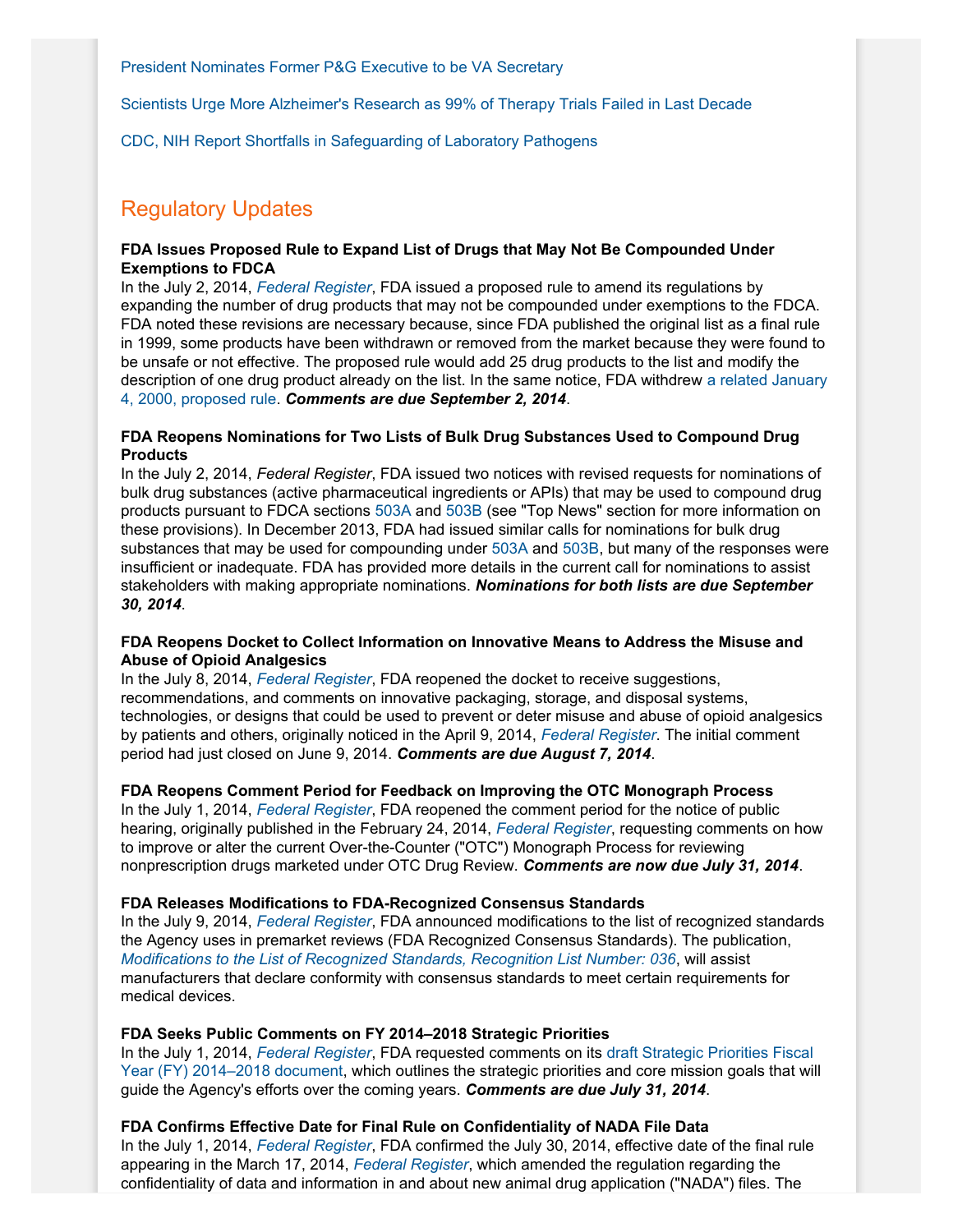[President Nominates Former P&G Executive to be VA Secretary](http://www.latimes.com/nation/nationnow/la-na-obama-procter-and-gamble-20140629-story.html)

[Scientists Urge More Alzheimer's Research as 99% of Therapy Trials Failed in Last Decade](http://www.bbc.com/news/health-28125265)

[CDC, NIH Report Shortfalls in Safeguarding of Laboratory Pathogens](http://www.washingtonpost.com/national/health-science/fda-found-more-than-smallpox-vials-in-storage-room/2014/07/16/850d4b12-0d22-11e4-8341-b8072b1e7348_story.html)

## Regulatory Updates

#### **FDA Issues Proposed Rule to Expand List of Drugs that May Not Be Compounded Under Exemptions to FDCA**

In the July 2, 2014, *[Federal Register](http://www.gpo.gov/fdsys/pkg/FR-2014-07-02/pdf/2014-15371.pdf)*, FDA issued a proposed rule to amend its regulations by expanding the number of drug products that may not be compounded under exemptions to the FDCA. FDA noted these revisions are necessary because, since FDA published the original list as a final rule in 1999, some products have been withdrawn or removed from the market because they were found to be unsafe or not effective. The proposed rule would add 25 drug products to the list and modify the description of one drug product already on the list. In the same notice, FDA withdrew [a related January](http://www.gpo.gov/fdsys/pkg/FR-2000-01-04/pdf/00-76.pdf) [4, 2000, proposed rule.](http://www.gpo.gov/fdsys/pkg/FR-2000-01-04/pdf/00-76.pdf) *Comments are due September 2, 2014*.

#### **FDA Reopens Nominations for Two Lists of Bulk Drug Substances Used to Compound Drug Products**

In the July 2, 2014, *Federal Register*, FDA issued two notices with revised requests for nominations of bulk drug substances (active pharmaceutical ingredients or APIs) that may be used to compound drug products pursuant to FDCA sections [503A](http://www.gpo.gov/fdsys/pkg/FR-2014-07-02/pdf/2014-15367.pdf) and [503B](http://www.gpo.gov/fdsys/pkg/FR-2014-07-02/pdf/2014-15373.pdf) (see "Top News" section for more information on these provisions). In December 2013, FDA had issued similar calls for nominations for bulk drug substances that may be used for compounding under [503A](http://www.gpo.gov/fdsys/pkg/FR-2013-12-04/pdf/2013-28979.pdf) and [503B](http://www.gpo.gov/fdsys/pkg/FR-2013-12-04/pdf/2013-28978.pdf), but many of the responses were insufficient or inadequate. FDA has provided more details in the current call for nominations to assist stakeholders with making appropriate nominations. *Nominations for both lists are due September 30, 2014*.

#### **FDA Reopens Docket to Collect Information on Innovative Means to Address the Misuse and Abuse of Opioid Analgesics**

In the July 8, 2014, *[Federal Register](http://www.gpo.gov/fdsys/pkg/FR-2014-07-08/pdf/2014-15809.pdf)*, FDA reopened the docket to receive suggestions, recommendations, and comments on innovative packaging, storage, and disposal systems, technologies, or designs that could be used to prevent or deter misuse and abuse of opioid analgesics by patients and others, originally noticed in the April 9, 2014, *[Federal Register](http://www.gpo.gov/fdsys/pkg/FR-2014-04-09/pdf/2014-07909.pdf)*. The initial comment period had just closed on June 9, 2014. *Comments are due August 7, 2014*.

#### **FDA Reopens Comment Period for Feedback on Improving the OTC Monograph Process**

In the July 1, 2014, *[Federal Register](http://www.gpo.gov/fdsys/pkg/FR-2014-07-01/pdf/2014-15375.pdf)*, FDA reopened the comment period for the notice of public hearing, originally published in the February 24, 2014, *[Federal Register](http://www.gpo.gov/fdsys/pkg/FR-2014-02-24/pdf/2014-03884.pdf)*, requesting comments on how to improve or alter the current Over-the-Counter ("OTC") Monograph Process for reviewing nonprescription drugs marketed under OTC Drug Review. *Comments are now due July 31, 2014*.

#### **FDA Releases Modifications to FDA-Recognized Consensus Standards**

In the July 9, 2014, *[Federal Register](http://www.gpo.gov/fdsys/pkg/FR-2014-07-09/pdf/2014-15989.pdf)*, FDA announced modifications to the list of recognized standards the Agency uses in premarket reviews (FDA Recognized Consensus Standards). The publication, *[Modifications to the List of Recognized Standards, Recognition List Number: 036](http://www.fda.gov/MedicalDevices/DeviceRegulationandGuidance/Standards/ucm123792.htm)*, will assist manufacturers that declare conformity with consensus standards to meet certain requirements for medical devices.

#### **FDA Seeks Public Comments on FY 2014–2018 Strategic Priorities**

In the July 1, 2014, *[Federal Register](http://www.gpo.gov/fdsys/pkg/FR-2014-07-01/pdf/2014-15374.pdf)*, FDA requested comments on its [draft Strategic Priorities Fiscal](http://www.fda.gov/downloads/AboutFDA/ReportsManualsForms/Reports/UCM403191.pdf) [Year \(FY\) 2014–2018 document](http://www.fda.gov/downloads/AboutFDA/ReportsManualsForms/Reports/UCM403191.pdf), which outlines the strategic priorities and core mission goals that will guide the Agency's efforts over the coming years. *Comments are due July 31, 2014*.

**FDA Confirms Effective Date for Final Rule on Confidentiality of NADA File Data**

In the July 1, 2014, *[Federal Register](http://www.gpo.gov/fdsys/pkg/FR-2014-07-01/pdf/2014-15209.pdf)*, FDA confirmed the July 30, 2014, effective date of the final rule appearing in the March 17, 2014, *[Federal Register](http://www.gpo.gov/fdsys/pkg/FR-2014-03-17/pdf/2014-05430.pdf)*, which amended the regulation regarding the confidentiality of data and information in and about new animal drug application ("NADA") files. The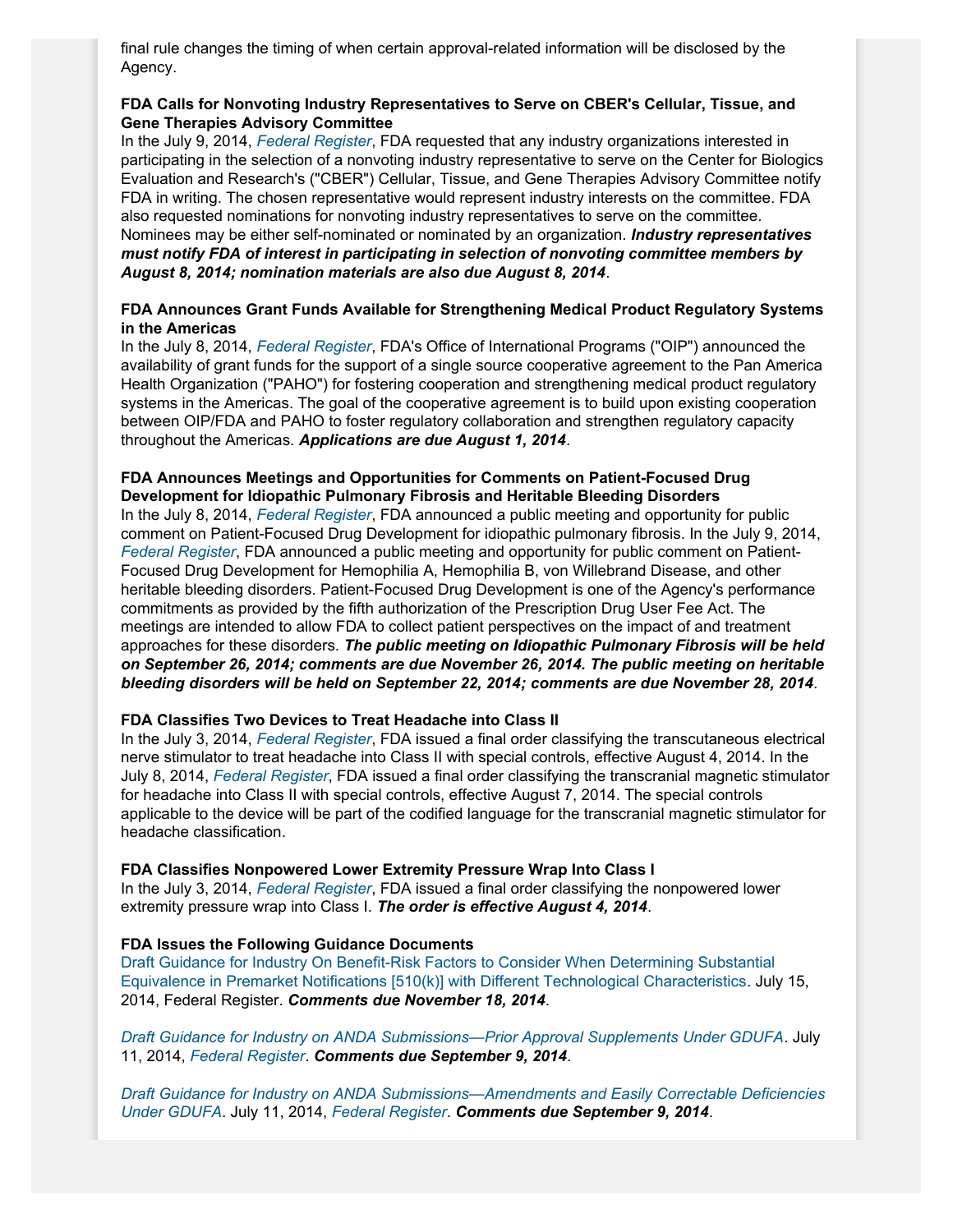final rule changes the timing of when certain approval-related information will be disclosed by the Agency.

#### **FDA Calls for Nonvoting Industry Representatives to Serve on CBER's Cellular, Tissue, and Gene Therapies Advisory Committee**

In the July 9, 2014, *[Federal Register](http://www.gpo.gov/fdsys/pkg/FR-2014-07-09/pdf/2014-16038.pdf)*, FDA requested that any industry organizations interested in participating in the selection of a nonvoting industry representative to serve on the Center for Biologics Evaluation and Research's ("CBER") Cellular, Tissue, and Gene Therapies Advisory Committee notify FDA in writing. The chosen representative would represent industry interests on the committee. FDA also requested nominations for nonvoting industry representatives to serve on the committee. Nominees may be either self-nominated or nominated by an organization. *Industry representatives must notify FDA of interest in participating in selection of nonvoting committee members by August 8, 2014; nomination materials are also due August 8, 2014*.

#### **FDA Announces Grant Funds Available for Strengthening Medical Product Regulatory Systems in the Americas**

In the July 8, 2014, *[Federal Register](http://www.gpo.gov/fdsys/pkg/FR-2014-07-08/pdf/2014-15870.pdf)*, FDA's Office of International Programs ("OIP") announced the availability of grant funds for the support of a single source cooperative agreement to the Pan America Health Organization ("PAHO") for fostering cooperation and strengthening medical product regulatory systems in the Americas. The goal of the cooperative agreement is to build upon existing cooperation between OIP/FDA and PAHO to foster regulatory collaboration and strengthen regulatory capacity throughout the Americas. *Applications are due August 1, 2014*.

#### **FDA Announces Meetings and Opportunities for Comments on Patient-Focused Drug Development for Idiopathic Pulmonary Fibrosis and Heritable Bleeding Disorders**

In the July 8, 2014, *[Federal Register](http://www.gpo.gov/fdsys/pkg/FR-2014-07-08/pdf/2014-15871.pdf)*, FDA announced a public meeting and opportunity for public comment on Patient-Focused Drug Development for idiopathic pulmonary fibrosis. In the July 9, 2014, *[Federal Register](http://www.gpo.gov/fdsys/pkg/FR-2014-07-09/pdf/2014-15990.pdf)*, FDA announced a public meeting and opportunity for public comment on Patient-Focused Drug Development for Hemophilia A, Hemophilia B, von Willebrand Disease, and other heritable bleeding disorders. Patient-Focused Drug Development is one of the Agency's performance commitments as provided by the fifth authorization of the Prescription Drug User Fee Act. The meetings are intended to allow FDA to collect patient perspectives on the impact of and treatment approaches for these disorders. *The public meeting on Idiopathic Pulmonary Fibrosis will be held on September 26, 2014; comments are due November 26, 2014. The public meeting on heritable bleeding disorders will be held on September 22, 2014; comments are due November 28, 2014*.

#### **FDA Classifies Two Devices to Treat Headache into Class II**

In the July 3, 2014, *[Federal Register](http://www.gpo.gov/fdsys/pkg/FR-2014-07-03/pdf/2014-15625.pdf)*, FDA issued a final order classifying the transcutaneous electrical nerve stimulator to treat headache into Class II with special controls, effective August 4, 2014. In the July 8, 2014, *[Federal Register](http://www.gpo.gov/fdsys/pkg/FR-2014-07-08/pdf/2014-15876.pdf)*, FDA issued a final order classifying the transcranial magnetic stimulator for headache into Class II with special controls, effective August 7, 2014. The special controls applicable to the device will be part of the codified language for the transcranial magnetic stimulator for headache classification.

#### **FDA Classifies Nonpowered Lower Extremity Pressure Wrap Into Class I**

In the July 3, 2014, *[Federal Register](http://www.gpo.gov/fdsys/pkg/FR-2014-07-03/pdf/2014-15626.pdf)*, FDA issued a final order classifying the nonpowered lower extremity pressure wrap into Class I. *The order is effective August 4, 2014*.

#### **FDA Issues the Following Guidance Documents**

[Draft Guidance for Industry On Benefit-Risk Factors to Consider When Determining Substantial](http://www.fda.gov/downloads/MedicalDevices/DeviceRegulationandGuidance/GuidanceDocuments/UCM404773.pdf) [Equivalence in Premarket Notifications \[510\(k\)\] with Different Technological Characteristics](http://www.fda.gov/downloads/MedicalDevices/DeviceRegulationandGuidance/GuidanceDocuments/UCM404773.pdf). July 15, 2014, Federal Register. *Comments due November 18, 2014*.

*[Draft Guidance for Industry on ANDA Submissions—Prior Approval Supplements Under GDUFA](http://www.fda.gov/downloads/Drugs/GuidanceComplianceRegulatoryInformation/Guidances/UCM404441.pdf)*. July 11, 2014, *[Federal Register](http://www.gpo.gov/fdsys/pkg/FR-2014-07-11/pdf/2014-16236.pdf)*. *Comments due September 9, 2014*.

*[Draft Guidance for Industry on ANDA Submissions—Amendments and Easily Correctable Deficiencies](http://www.fda.gov/downloads/Drugs/GuidanceComplianceRegulatoryInformation/Guidances/UCM404440.pdf) [Under GDUFA](http://www.fda.gov/downloads/Drugs/GuidanceComplianceRegulatoryInformation/Guidances/UCM404440.pdf)*. July 11, 2014, *[Federal Register](http://www.gpo.gov/fdsys/pkg/FR-2014-07-11/pdf/2014-16235.pdf)*. *Comments due September 9, 2014*.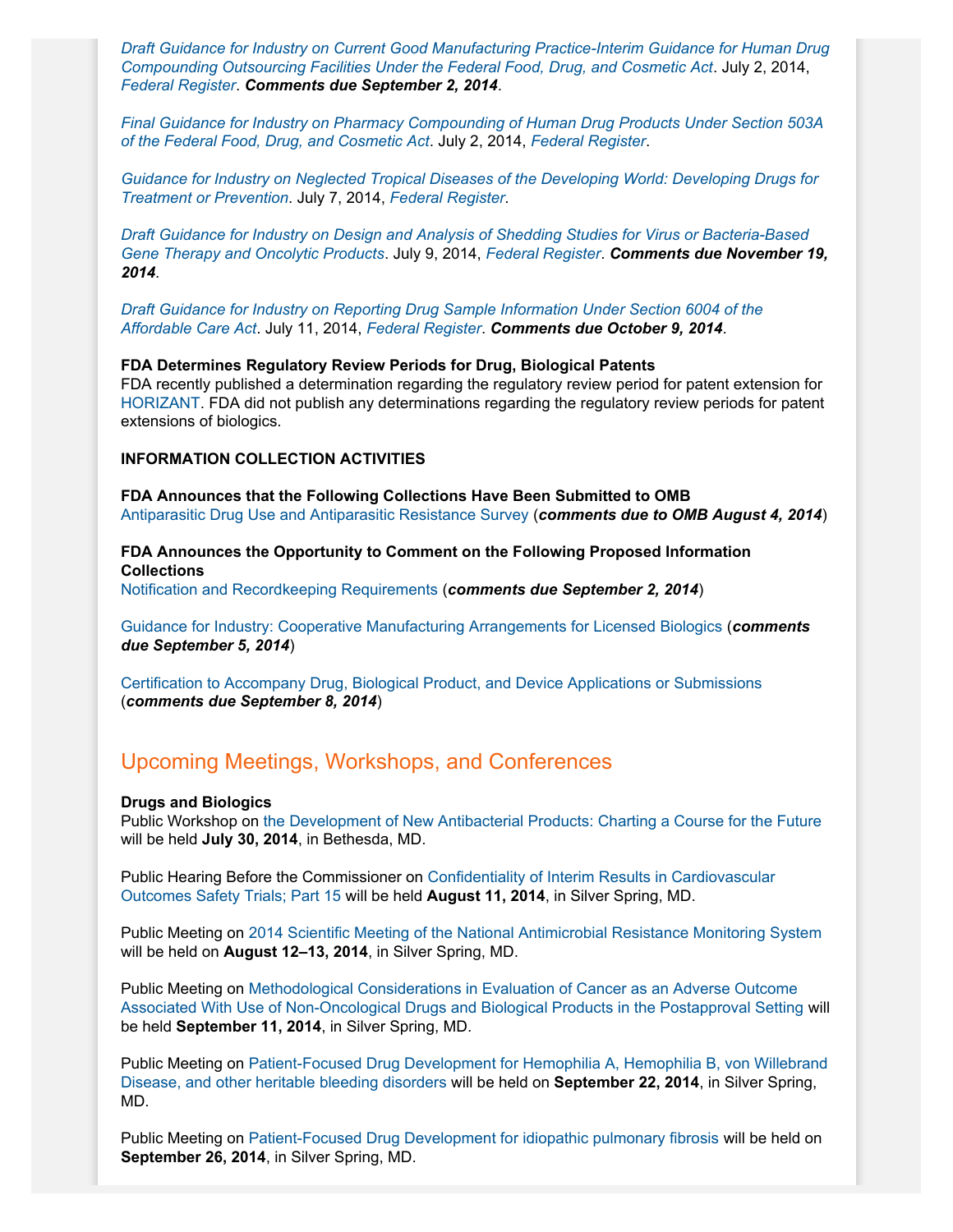*[Draft Guidance for Industry on Current Good Manufacturing Practice-Interim Guidance for Human Drug](http://www.fda.gov/downloads/Drugs/GuidanceComplianceRegulatoryInformation/Guidances/UCM403496.pdf) [Compounding Outsourcing Facilities Under the Federal Food, Drug, and Cosmetic Act](http://www.fda.gov/downloads/Drugs/GuidanceComplianceRegulatoryInformation/Guidances/UCM403496.pdf)*. July 2, 2014, *[Federal Register](http://www.gpo.gov/fdsys/pkg/FR-2014-07-02/pdf/2014-15370.pdf)*. *Comments due September 2, 2014*.

*[Final Guidance for Industry on Pharmacy Compounding of Human Drug Products Under Section 503A](http://www.fda.gov/downloads/Drugs/GuidanceComplianceRegulatoryInformation/Guidances/UCM377052.pdf) [of the Federal Food, Drug, and Cosmetic Act](http://www.fda.gov/downloads/Drugs/GuidanceComplianceRegulatoryInformation/Guidances/UCM377052.pdf)*. July 2, 2014, *[Federal Register](http://www.gpo.gov/fdsys/pkg/FR-2014-07-02/pdf/2014-15372.pdf)*.

*[Guidance for Industry on Neglected Tropical Diseases of the Developing World: Developing Drugs for](http://www.fda.gov/downloads/Drugs/GuidanceComplianceRegulatoryInformation/Guidances/UCM269221.pdf) [Treatment or Prevention](http://www.fda.gov/downloads/Drugs/GuidanceComplianceRegulatoryInformation/Guidances/UCM269221.pdf)*. July 7, 2014, *[Federal Register](http://www.gpo.gov/fdsys/pkg/FR-2014-07-07/pdf/2014-15801.pdf)*.

*[Draft Guidance for Industry on Design and Analysis of Shedding Studies for Virus or Bacteria-Based](http://www.fda.gov/downloads/BiologicsBloodVaccines/GuidanceComplianceRegulatoryInformation/Guidances/CellularandGeneTherapy/UCM404087.pdf) [Gene Therapy and Oncolytic Products](http://www.fda.gov/downloads/BiologicsBloodVaccines/GuidanceComplianceRegulatoryInformation/Guidances/CellularandGeneTherapy/UCM404087.pdf)*. July 9, 2014, *[Federal Register](http://www.gpo.gov/fdsys/pkg/FR-2014-07-09/pdf/2014-15991.pdf)*. *Comments due November 19, 2014*.

*[Draft Guidance for Industry on Reporting Drug Sample Information Under Section 6004 of the](http://www.fda.gov/downloads/Drugs/GuidanceComplianceRegulatoryInformation/Guidances/UCM404473.pdf) [Affordable Care Act](http://www.fda.gov/downloads/Drugs/GuidanceComplianceRegulatoryInformation/Guidances/UCM404473.pdf)*. July 11, 2014, *[Federal Register](http://www.gpo.gov/fdsys/pkg/FR-2014-07-11/pdf/2014-16238.pdf)*. *Comments due October 9, 2014*.

#### **FDA Determines Regulatory Review Periods for Drug, Biological Patents**

FDA recently published a determination regarding the regulatory review period for patent extension for [HORIZANT.](http://www.gpo.gov/fdsys/pkg/FR-2014-07-11/pdf/2014-16237.pdf) FDA did not publish any determinations regarding the regulatory review periods for patent extensions of biologics.

#### **INFORMATION COLLECTION ACTIVITIES**

**FDA Announces that the Following Collections Have Been Submitted to OMB** [Antiparasitic Drug Use and Antiparasitic Resistance Survey](http://www.gpo.gov/fdsys/pkg/FR-2014-07-03/pdf/2014-15648.pdf) (*comments due to OMB August 4, 2014*)

**FDA Announces the Opportunity to Comment on the Following Proposed Information Collections**

[Notification and Recordkeeping Requirements](http://www.gpo.gov/fdsys/pkg/FR-2014-07-03/pdf/2014-15647.pdf) (*comments due September 2, 2014*)

[Guidance for Industry: Cooperative Manufacturing Arrangements for Licensed Biologics](http://www.gpo.gov/fdsys/pkg/FR-2014-07-07/pdf/2014-15810.pdf) (*comments due September 5, 2014*)

[Certification to Accompany Drug, Biological Product, and Device Applications or Submissions](http://www.gpo.gov/fdsys/pkg/FR-2014-07-09/pdf/2014-15992.pdf) (*comments due September 8, 2014*)

### Upcoming Meetings, Workshops, and Conferences

#### **Drugs and Biologics**

Public Workshop on [the Development of New Antibacterial Products: Charting a Course for the Future](http://osp.od.nih.gov/office-biotechnology-activities/event/2014-07-30-120000-2014-07-31-170000/development-new-antibacterial-products-charting-course-future) will be held **July 30, 2014**, in Bethesda, MD.

Public Hearing Before the Commissioner on [Confidentiality of Interim Results in Cardiovascular](http://www.fda.gov/Drugs/NewsEvents/ucm398454.htm) [Outcomes Safety Trials; Part 15](http://www.fda.gov/Drugs/NewsEvents/ucm398454.htm) will be held **August 11, 2014**, in Silver Spring, MD.

Public Meeting on [2014 Scientific Meeting of the National Antimicrobial Resistance Monitoring System](http://www.gpo.gov/fdsys/pkg/FR-2014-07-11/pdf/2014-16207.pdf) will be held on **August 12–13, 2014**, in Silver Spring, MD.

Public Meeting on [Methodological Considerations in Evaluation of Cancer as an Adverse Outcome](http://www.gpo.gov/fdsys/pkg/FR-2014-06-16/pdf/2014-13907.pdf) [Associated With Use of Non-Oncological Drugs and Biological Products in the Postapproval Setting](http://www.gpo.gov/fdsys/pkg/FR-2014-06-16/pdf/2014-13907.pdf) will be held **September 11, 2014**, in Silver Spring, MD.

Public Meeting on [Patient-Focused Drug Development for Hemophilia A, Hemophilia B, von Willebrand](http://www.gpo.gov/fdsys/pkg/FR-2014-07-09/pdf/2014-15990.pdf) [Disease, and other heritable bleeding disorders](http://www.gpo.gov/fdsys/pkg/FR-2014-07-09/pdf/2014-15990.pdf) will be held on **September 22, 2014**, in Silver Spring, MD.

Public Meeting on [Patient-Focused Drug Development for idiopathic pulmonary fibrosis](http://www.gpo.gov/fdsys/pkg/FR-2014-07-08/pdf/2014-15871.pdf) will be held on **September 26, 2014**, in Silver Spring, MD.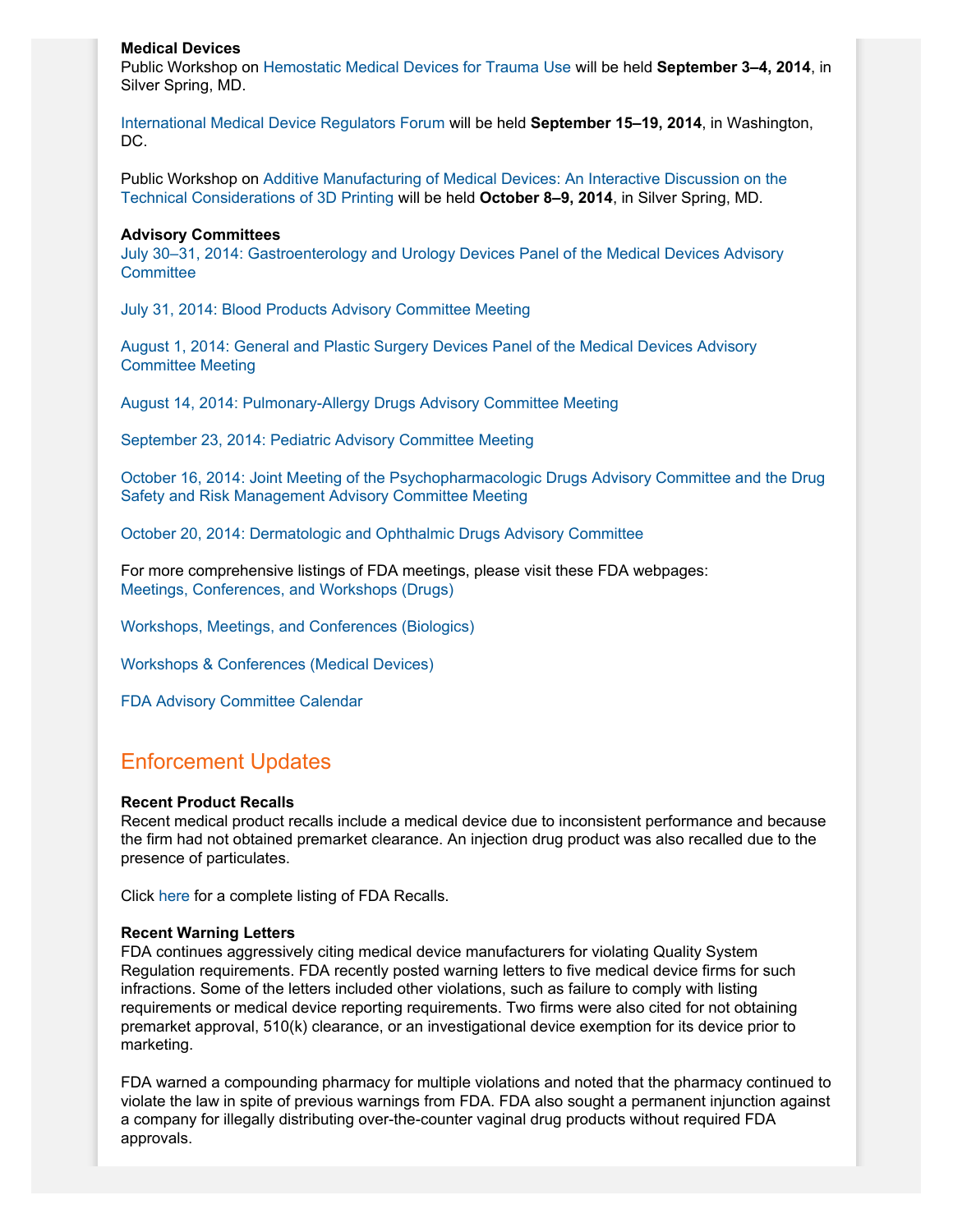#### **Medical Devices**

Public Workshop on [Hemostatic Medical Devices for Trauma Use](http://www.fda.gov/MedicalDevices/NewsEvents/WorkshopsConferences/ucm396497.htm) will be held **September 3–4, 2014**, in Silver Spring, MD.

[International Medical Device Regulators Forum](http://www.fda.gov/MedicalDevices/NewsEvents/WorkshopsConferences/ucm401433.htm) will be held **September 15–19, 2014**, in Washington, DC.

Public Workshop on [Additive Manufacturing of Medical Devices: An Interactive Discussion on the](http://www.gpo.gov/fdsys/pkg/FR-2014-07-08/pdf/2014-15871.pdf) [Technical Considerations of 3D Printing](http://www.gpo.gov/fdsys/pkg/FR-2014-07-08/pdf/2014-15871.pdf) will be held **October 8–9, 2014**, in Silver Spring, MD.

#### **Advisory Committees**

[July 30–31, 2014: Gastroenterology and Urology Devices Panel of the Medical Devices Advisory](http://www.fda.gov/AdvisoryCommittees/Calendar/ucm400702.htm) **[Committee](http://www.fda.gov/AdvisoryCommittees/Calendar/ucm400702.htm)** 

[July 31, 2014: Blood Products Advisory Committee Meeting](http://www.gpo.gov/fdsys/pkg/FR-2014-06-26/pdf/2014-14922.pdf)

[August 1, 2014: General and Plastic Surgery Devices Panel of the Medical Devices Advisory](http://www.gpo.gov/fdsys/pkg/FR-2014-06-26/pdf/2014-14923.pdf) [Committee Meeting](http://www.gpo.gov/fdsys/pkg/FR-2014-06-26/pdf/2014-14923.pdf)

[August 14, 2014: Pulmonary-Allergy Drugs Advisory Committee Meeting](http://www.gpo.gov/fdsys/pkg/FR-2014-06-26/pdf/2014-14921.pdf)

[September 23, 2014: Pediatric Advisory Committee Meeting](http://www.gpo.gov/fdsys/pkg/FR-2014-07-07/pdf/2014-15683.pdf)

[October 16, 2014: Joint Meeting of the Psychopharmacologic Drugs Advisory Committee and the Drug](http://www.fda.gov/AdvisoryCommittees/Calendar/ucm394876.htm) [Safety and Risk Management Advisory Committee Meeting](http://www.fda.gov/AdvisoryCommittees/Calendar/ucm394876.htm)

[October 20, 2014: Dermatologic and Ophthalmic Drugs Advisory Committee](http://www.gpo.gov/fdsys/pkg/FR-2014-07-14/pdf/2014-16359.pdf)

For more comprehensive listings of FDA meetings, please visit these FDA webpages: [Meetings, Conferences, and Workshops \(Drugs\)](http://www.fda.gov/drugs/newsevents/ucm132703.htm)

[Workshops, Meetings, and Conferences \(Biologics\)](http://www.fda.gov/BiologicsBloodVaccines/NewsEvents/WorkshopsMeetingsConferences/default.htm)

[Workshops & Conferences \(Medical Devices\)](http://www.fda.gov/MedicalDevices/NewsEvents/WorkshopsConferences/default.htm)

[FDA Advisory Committee Calendar](http://www.fda.gov/AdvisoryCommittees/Calendar/default.htm)

## Enforcement Updates

#### **Recent Product Recalls**

Recent medical product recalls include a medical device due to inconsistent performance and because the firm had not obtained premarket clearance. An injection drug product was also recalled due to the presence of particulates.

Click [here](http://www.fda.gov/safety/recalls/) for a complete listing of FDA Recalls.

#### **Recent Warning Letters**

FDA continues aggressively citing medical device manufacturers for violating Quality System Regulation requirements. FDA recently posted warning letters to five medical device firms for such infractions. Some of the letters included other violations, such as failure to comply with listing requirements or medical device reporting requirements. Two firms were also cited for not obtaining premarket approval, 510(k) clearance, or an investigational device exemption for its device prior to marketing.

FDA warned a compounding pharmacy for multiple violations and noted that the pharmacy continued to violate the law in spite of previous warnings from FDA. FDA also sought a permanent injunction against a company for illegally distributing over-the-counter vaginal drug products without required FDA approvals.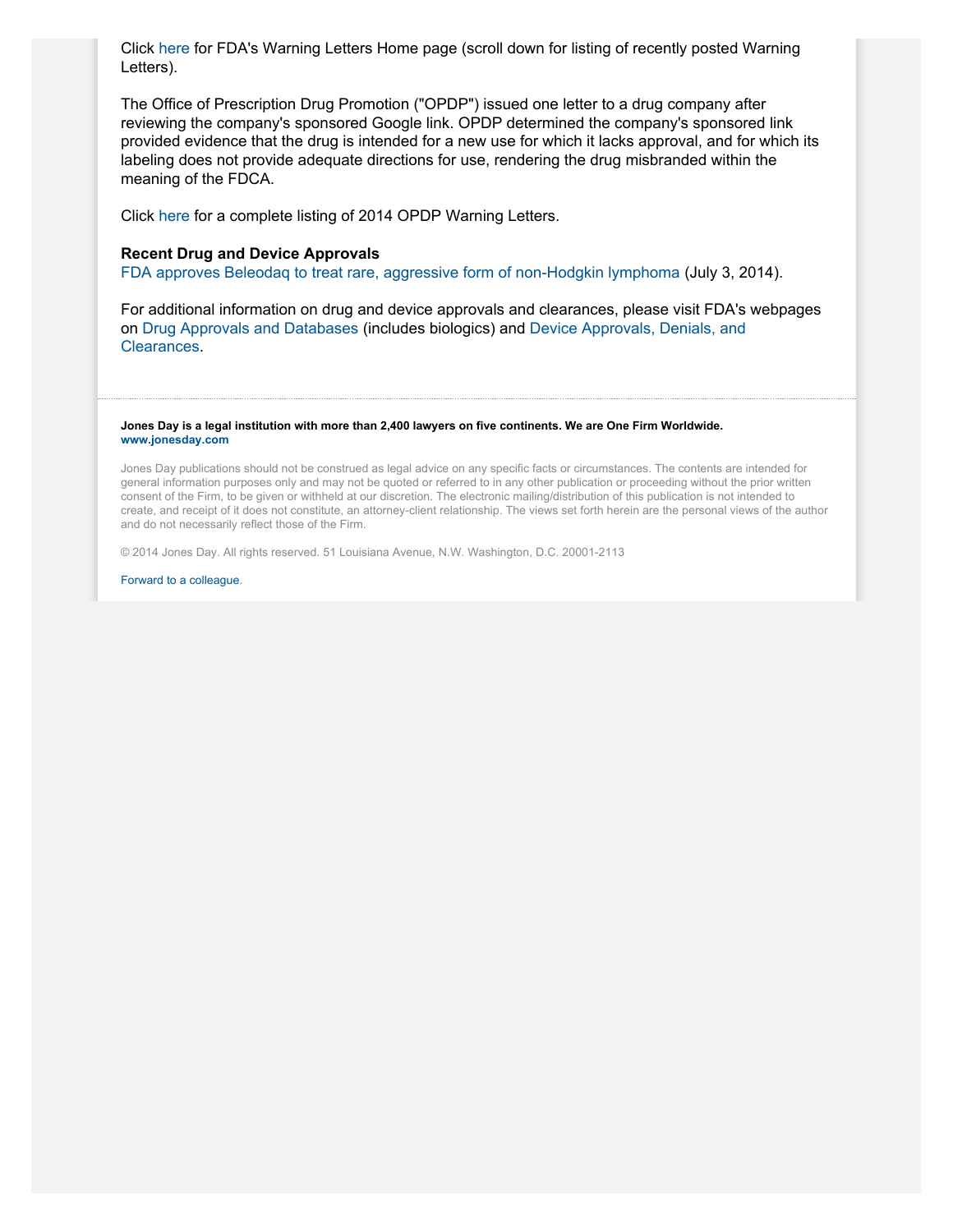Click [here](http://www.fda.gov/iceci/enforcementactions/WarningLetters/default.htm) for FDA's Warning Letters Home page (scroll down for listing of recently posted Warning Letters).

The Office of Prescription Drug Promotion ("OPDP") issued one letter to a drug company after reviewing the company's sponsored Google link. OPDP determined the company's sponsored link provided evidence that the drug is intended for a new use for which it lacks approval, and for which its labeling does not provide adequate directions for use, rendering the drug misbranded within the meaning of the FDCA.

Click [here](http://www.fda.gov/Drugs/GuidanceComplianceRegulatoryInformation/EnforcementActivitiesbyFDA/WarningLettersandNoticeofViolationLetterstoPharmaceuticalCompanies/ucm380323.htm#DDMAC) for a complete listing of 2014 OPDP Warning Letters.

#### **Recent Drug and Device Approvals**

[FDA approves Beleodaq to treat rare, aggressive form of non-Hodgkin lymphoma](http://www.fda.gov/NewsEvents/Newsroom/PressAnnouncements/ucm403929.htm) (July 3, 2014).

For additional information on drug and device approvals and clearances, please visit FDA's webpages on [Drug Approvals and Databases](http://www.fda.gov/Drugs/InformationOnDrugs/) (includes biologics) and [Device Approvals, Denials, and](http://www.fda.gov/medicaldevices/productsandmedicalprocedures/deviceapprovalsandclearances/default.htm) [Clearances](http://www.fda.gov/medicaldevices/productsandmedicalprocedures/deviceapprovalsandclearances/default.htm).

#### **Jones Day is a legal institution with more than 2,400 lawyers on five continents. We are One Firm Worldwide. [www.jonesday.com](http://www.jonesday.com)**

Jones Day publications should not be construed as legal advice on any specific facts or circumstances. The contents are intended for general information purposes only and may not be quoted or referred to in any other publication or proceeding without the prior written consent of the Firm, to be given or withheld at our discretion. The electronic mailing/distribution of this publication is not intended to create, and receipt of it does not constitute, an attorney-client relationship. The views set forth herein are the personal views of the author and do not necessarily reflect those of the Firm.

© 2014 Jones Day. All rights reserved. 51 Louisiana Avenue, N.W. Washington, D.C. 20001-2113

[Forward to a colleague.](http://thewritestuff.jonesday.com/cff/8eccafc291ad56507dec9d5f24a792c4d4553b09/)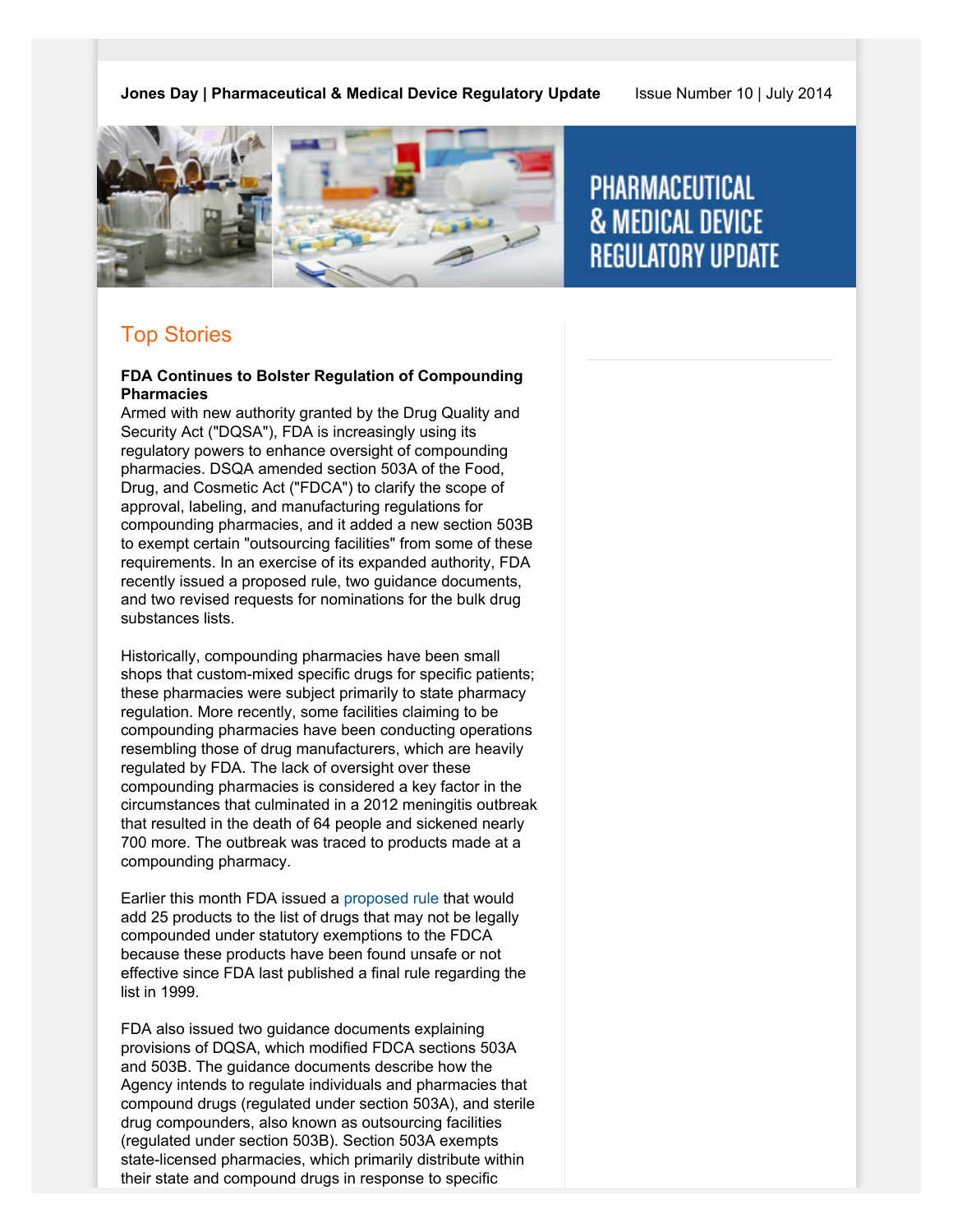**Jones Day | Pharmaceutical & Medical Device Regulatory Update** Issue Number 10 | July 2014



# **PHARMACEUTICAL & MEDICAL DEVICE REGULATORY UPDATE**

# Top Stories

### **FDA Continues to Bolster Regulation of Compounding Pharmacies**

Armed with new authority granted by the Drug Quality and Security Act ("DQSA"), FDA is increasingly using its regulatory powers to enhance oversight of compounding pharmacies. DSQA amended section 503A of the Food, Drug, and Cosmetic Act ("FDCA") to clarify the scope of approval, labeling, and manufacturing regulations for compounding pharmacies, and it added a new section 503B to exempt certain "outsourcing facilities" from some of these requirements. In an exercise of its expanded authority, FDA recently issued a proposed rule, two guidance documents, and two revised requests for nominations for the bulk drug substances lists.

Historically, compounding pharmacies have been small shops that custom-mixed specific drugs for specific patients; these pharmacies were subject primarily to state pharmacy regulation. More recently, some facilities claiming to be compounding pharmacies have been conducting operations resembling those of drug manufacturers, which are heavily regulated by FDA. The lack of oversight over these compounding pharmacies is considered a key factor in the circumstances that culminated in a 2012 meningitis outbreak that resulted in the death of 64 people and sickened nearly 700 more. The outbreak was traced to products made at a compounding pharmacy.

Earlier this month FDA issued a [proposed rule](http://www.gpo.gov/fdsys/pkg/FR-2014-07-02/pdf/2014-15371.pdf) that would add 25 products to the list of drugs that may not be legally compounded under statutory exemptions to the FDCA because these products have been found unsafe or not effective since FDA last published a final rule regarding the list in 1999.

FDA also issued two guidance documents explaining provisions of DQSA, which modified FDCA sections 503A and 503B. The guidance documents describe how the Agency intends to regulate individuals and pharmacies that compound drugs (regulated under section 503A), and sterile drug compounders, also known as outsourcing facilities (regulated under section 503B). Section 503A exempts state-licensed pharmacies, which primarily distribute within their state and compound drugs in response to specific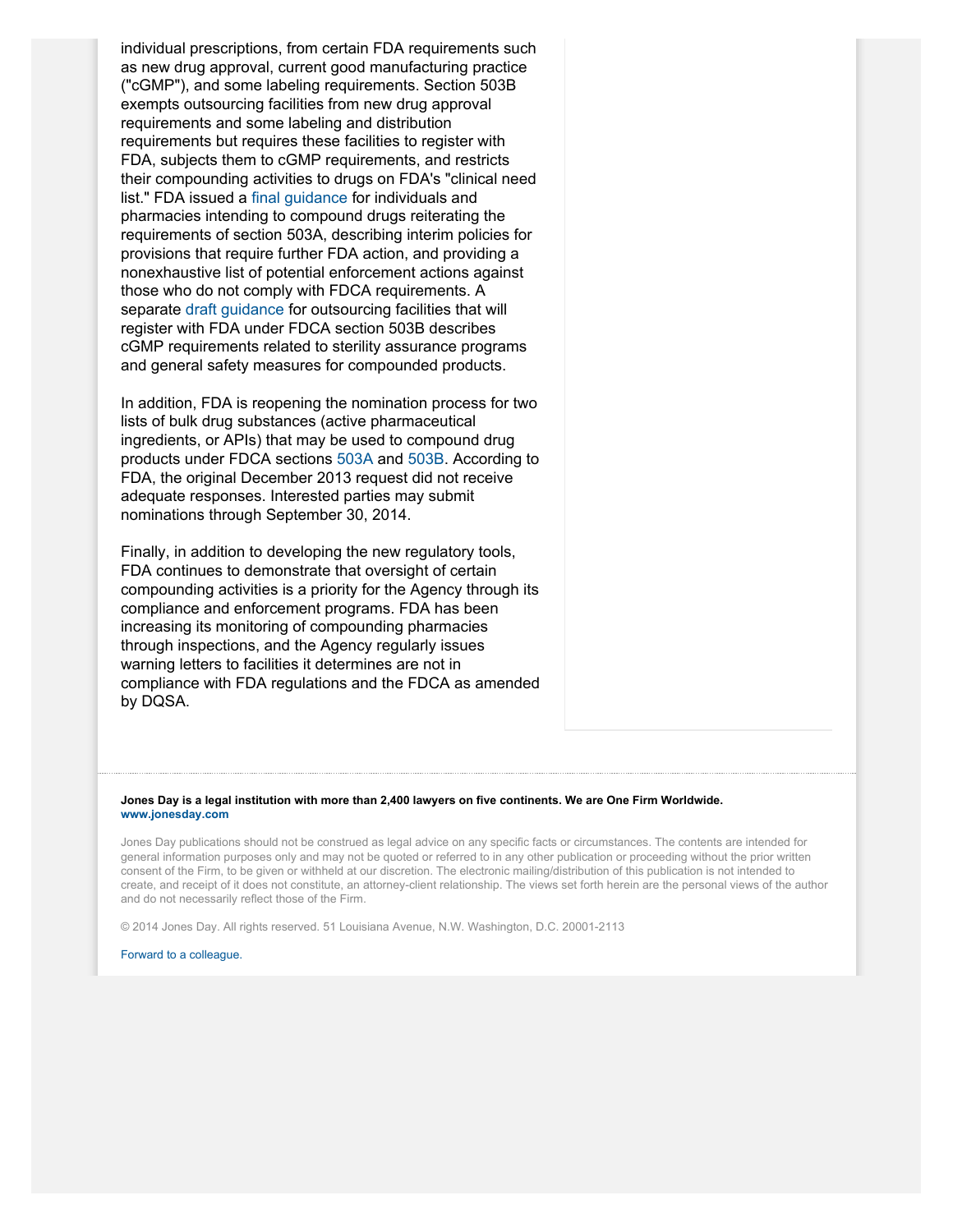individual prescriptions, from certain FDA requirements such as new drug approval, current good manufacturing practice ("cGMP"), and some labeling requirements. Section 503B exempts outsourcing facilities from new drug approval requirements and some labeling and distribution requirements but requires these facilities to register with FDA, subjects them to cGMP requirements, and restricts their compounding activities to drugs on FDA's "clinical need list." FDA issued a [final guidance](http://www.fda.gov/downloads/Drugs/GuidanceComplianceRegulatoryInformation/Guidances/UCM377052.pdf) for individuals and pharmacies intending to compound drugs reiterating the requirements of section 503A, describing interim policies for provisions that require further FDA action, and providing a nonexhaustive list of potential enforcement actions against those who do not comply with FDCA requirements. A separate [draft guidance](http://www.fda.gov/downloads/Drugs/GuidanceComplianceRegulatoryInformation/Guidances/UCM403496.pdf) for outsourcing facilities that will register with FDA under FDCA section 503B describes cGMP requirements related to sterility assurance programs and general safety measures for compounded products.

In addition, FDA is reopening the nomination process for two lists of bulk drug substances (active pharmaceutical ingredients, or APIs) that may be used to compound drug products under FDCA sections [503A](http://www.gpo.gov/fdsys/pkg/FR-2014-07-02/pdf/2014-15367.pdf) and [503B.](http://www.gpo.gov/fdsys/pkg/FR-2014-07-02/pdf/2014-15373.pdf) According to FDA, the original December 2013 request did not receive adequate responses. Interested parties may submit nominations through September 30, 2014.

Finally, in addition to developing the new regulatory tools, FDA continues to demonstrate that oversight of certain compounding activities is a priority for the Agency through its compliance and enforcement programs. FDA has been increasing its monitoring of compounding pharmacies through inspections, and the Agency regularly issues warning letters to facilities it determines are not in compliance with FDA regulations and the FDCA as amended by DQSA.

#### **Jones Day is a legal institution with more than 2,400 lawyers on five continents. We are One Firm Worldwide. [www.jonesday.com](http://www.jonesday.com)**

Jones Day publications should not be construed as legal advice on any specific facts or circumstances. The contents are intended for general information purposes only and may not be quoted or referred to in any other publication or proceeding without the prior written consent of the Firm, to be given or withheld at our discretion. The electronic mailing/distribution of this publication is not intended to create, and receipt of it does not constitute, an attorney-client relationship. The views set forth herein are the personal views of the author and do not necessarily reflect those of the Firm.

© 2014 Jones Day. All rights reserved. 51 Louisiana Avenue, N.W. Washington, D.C. 20001-2113

#### [Forward to a colleague.](http://thewritestuff.jonesday.com/cff/8eccafc291ad56507dec9d5f24a792c4d4553b09/)